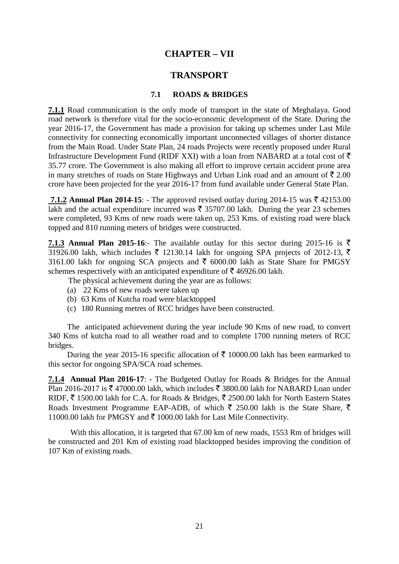# **CHAPTER – VII**

## **TRANSPORT**

## **7.1 ROADS & BRIDGES**

**7.1.1** Road communication is the only mode of transport in the state of Meghalaya. Good road network is therefore vital for the socio-economic development of the State. During the year 2016-17, the Government has made a provision for taking up schemes under Last Mile connectivity for connecting economically important unconnected villages of shorter distance from the Main Road. Under State Plan, 24 roads Projects were recently proposed under Rural Infrastructure Development Fund (RIDF XXI) with a loan from NABARD at a total cost of  $\bar{\tau}$ 35.77 crore. The Government is also making all effort to improve certain accident prone area in many stretches of roads on State Highways and Urban Link road and an amount of  $\bar{\xi}$  2.00 crore have been projected for the year 2016-17 from fund available under General State Plan.

**7.1.2 Annual Plan 2014-15:** - The approved revised outlay during 2014-15 was  $\bar{\tau}$  42153.00 lakh and the actual expenditure incurred was  $\bar{\tau}$  35707.00 lakh. During the year 23 schemes were completed, 93 Kms of new roads were taken up, 253 Kms. of existing road were black topped and 810 running meters of bridges were constructed.

**7.1.3** Annual Plan 2015-16:- The available outlay for this sector during 2015-16 is  $\bar{\tau}$ 31926.00 lakh, which includes  $\bar{\xi}$  12130.14 lakh for ongoing SPA projects of 2012-13,  $\bar{\xi}$ 3161.00 lakh for ongoing SCA projects and  $\bar{\tau}$  6000.00 lakh as State Share for PMGSY schemes respectively with an anticipated expenditure of  $\bar{\tau}$  46926.00 lakh.

The physical achievement during the year are as follows:

- (a) 22 Kms of new roads were taken up
- (b) 63 Kms of Kutcha road were blacktopped
- (c) 180 Running metres of RCC bridges have been constructed.

The anticipated achievement during the year include 90 Kms of new road, to convert 340 Kms of kutcha road to all weather road and to complete 1700 running meters of RCC bridges.

During the year 2015-16 specific allocation of  $\bar{\tau}$  10000.00 lakh has been earmarked to this sector for ongoing SPA/SCA road schemes.

**7.1.4 Annual Plan 2016-17**: - The Budgeted Outlay for Roads & Bridges for the Annual Plan 2016-2017 is ₹ 47000.00 lakh, which includes ₹ 3800.00 lakh for NABARD Loan under RIDF,  $\bar{\xi}$  1500.00 lakh for C.A. for Roads & Bridges,  $\bar{\xi}$  2500.00 lakh for North Eastern States Roads Investment Programme EAP-ADB, of which  $\bar{\tau}$  250.00 lakh is the State Share,  $\bar{\tau}$ 11000.00 lakh for PMGSY and  $\bar{\tau}$  1000.00 lakh for Last Mile Connectivity.

With this allocation, it is targeted that 67.00 km of new roads, 1553 Rm of bridges will be constructed and 201 Km of existing road blacktopped besides improving the condition of 107 Km of existing roads.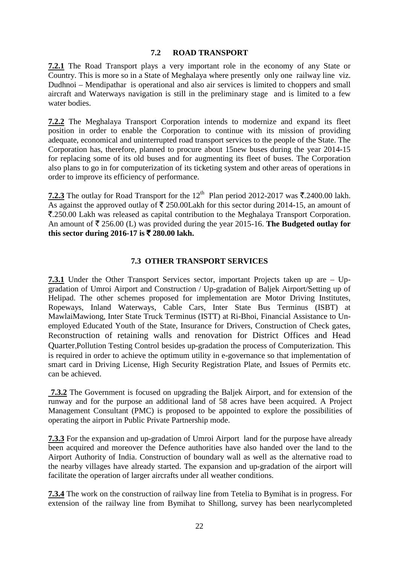### **7.2 ROAD TRANSPORT**

**7.2.1** The Road Transport plays a very important role in the economy of any State or Country. This is more so in a State of Meghalaya where presently only one railway line viz. Dudhnoi – Mendipathar is operational and also air services is limited to choppers and small aircraft and Waterways navigation is still in the preliminary stage and is limited to a few water bodies.

**7.2.2** The Meghalaya Transport Corporation intends to modernize and expand its fleet position in order to enable the Corporation to continue with its mission of providing adequate, economical and uninterrupted road transport services to the people of the State. The Corporation has, therefore, planned to procure about 15new buses during the year 2014-15 for replacing some of its old buses and for augmenting its fleet of buses. The Corporation also plans to go in for computerization of its ticketing system and other areas of operations in order to improve its efficiency of performance.

**7.2.3** The outlay for Road Transport for the 12<sup>th</sup> Plan period 2012-2017 was  $\bar{\mathbf{\tau}}$ .2400.00 lakh. As against the approved outlay of  $\bar{\tau}$  250.00Lakh for this sector during 2014-15, an amount of `.250.00 Lakh was released as capital contribution to the Meghalaya Transport Corporation. An amount of  $\bar{\tau}$  256.00 (L) was provided during the year 2015-16. **The Budgeted outlay for this sector during 2016-17 is ₹ 280.00 lakh.** 

### **7.3 OTHER TRANSPORT SERVICES**

**7.3.1** Under the Other Transport Services sector, important Projects taken up are – Upgradation of Umroi Airport and Construction / Up-gradation of Baljek Airport/Setting up of Helipad. The other schemes proposed for implementation are Motor Driving Institutes, Ropeways, Inland Waterways, Cable Cars, Inter State Bus Terminus (ISBT) at MawlaiMawiong, Inter State Truck Terminus (ISTT) at Ri-Bhoi, Financial Assistance to Unemployed Educated Youth of the State, Insurance for Drivers, Construction of Check gates, Reconstruction of retaining walls and renovation for District Offices and Head Quarter,Pollution Testing Control besides up-gradation the process of Computerization. This is required in order to achieve the optimum utility in e-governance so that implementation of smart card in Driving License, High Security Registration Plate, and Issues of Permits etc. can be achieved.

**7.3.2** The Government is focused on upgrading the Baljek Airport, and for extension of the runway and for the purpose an additional land of 58 acres have been acquired. A Project Management Consultant (PMC) is proposed to be appointed to explore the possibilities of operating the airport in Public Private Partnership mode.

**7.3.3** For the expansion and up-gradation of Umroi Airport land for the purpose have already been acquired and moreover the Defence authorities have also handed over the land to the Airport Authority of India. Construction of boundary wall as well as the alternative road to the nearby villages have already started. The expansion and up-gradation of the airport will facilitate the operation of larger aircrafts under all weather conditions.

**7.3.4** The work on the construction of railway line from Tetelia to Bymihat is in progress. For extension of the railway line from Bymihat to Shillong, survey has been nearlycompleted